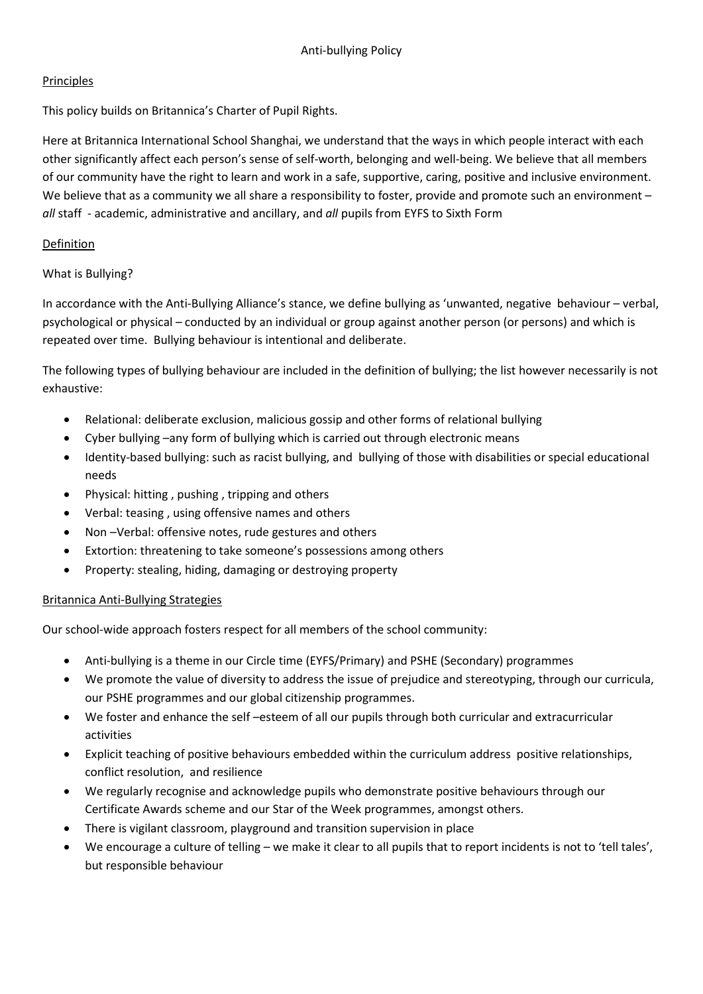### **Principles**

This policy builds on Britannica's Charter of Pupil Rights.

Here at Britannica International School Shanghai, we understand that the ways in which people interact with each other significantly affect each person's sense of self-worth, belonging and well-being. We believe that all members of our community have the right to learn and work in a safe, supportive, caring, positive and inclusive environment. We believe that as a community we all share a responsibility to foster, provide and promote such an environment – all staff - academic, administrative and ancillary, and all pupils from EYFS to Sixth Form

### Definition

# What is Bullying?

In accordance with the Anti-Bullying Alliance's stance, we define bullying as 'unwanted, negative behaviour – verbal, psychological or physical – conducted by an individual or group against another person (or persons) and which is repeated over time. Bullying behaviour is intentional and deliberate.

The following types of bullying behaviour are included in the definition of bullying; the list however necessarily is not exhaustive:

- Relational: deliberate exclusion, malicious gossip and other forms of relational bullying
- Cyber bullying –any form of bullying which is carried out through electronic means
- Identity-based bullying: such as racist bullying, and bullying of those with disabilities or special educational needs
- Physical: hitting , pushing , tripping and others
- Verbal: teasing , using offensive names and others
- Non –Verbal: offensive notes, rude gestures and others
- Extortion: threatening to take someone's possessions among others
- Property: stealing, hiding, damaging or destroying property

### Britannica Anti-Bullying Strategies

Our school-wide approach fosters respect for all members of the school community:

- Anti-bullying is a theme in our Circle time (EYFS/Primary) and PSHE (Secondary) programmes
- We promote the value of diversity to address the issue of prejudice and stereotyping, through our curricula, our PSHE programmes and our global citizenship programmes.
- We foster and enhance the self –esteem of all our pupils through both curricular and extracurricular activities
- Explicit teaching of positive behaviours embedded within the curriculum address positive relationships, conflict resolution, and resilience
- We regularly recognise and acknowledge pupils who demonstrate positive behaviours through our Certificate Awards scheme and our Star of the Week programmes, amongst others.
- There is vigilant classroom, playground and transition supervision in place
- We encourage a culture of telling we make it clear to all pupils that to report incidents is not to 'tell tales', but responsible behaviour